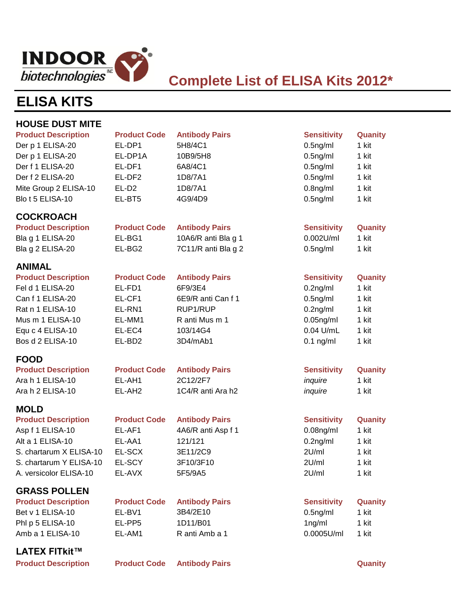

## **Complete List of ELISA Kits 2012\***

# **ELISA KITS**

| <b>HOUSE DUST MITE</b>     |                     |                       |                    |         |
|----------------------------|---------------------|-----------------------|--------------------|---------|
| <b>Product Description</b> | <b>Product Code</b> | <b>Antibody Pairs</b> | <b>Sensitivity</b> | Quanity |
| Der p 1 ELISA-20           | EL-DP1              | 5H8/4C1               | $0.5$ ng/ml        | 1 kit   |
| Der p 1 ELISA-20           | EL-DP1A             | 10B9/5H8              | $0.5$ ng/ml        | 1 kit   |
| Der f 1 ELISA-20           | EL-DF1              | 6A8/4C1               | $0.5$ ng/ml        | 1 kit   |
| Der f 2 ELISA-20           | EL-DF2              | 1D8/7A1               | $0.5$ ng/ml        | 1 kit   |
| Mite Group 2 ELISA-10      | EL-D <sub>2</sub>   | 1D8/7A1               | $0.8$ ng/ml        | 1 kit   |
| Blo t 5 ELISA-10           | EL-BT5              | 4G9/4D9               | $0.5$ ng/ml        | 1 kit   |
| <b>COCKROACH</b>           |                     |                       |                    |         |
| <b>Product Description</b> | <b>Product Code</b> | <b>Antibody Pairs</b> | <b>Sensitivity</b> | Quanity |
| Bla g 1 ELISA-20           | EL-BG1              | 10A6/R anti Bla g 1   | $0.002$ U/ml       | 1 kit   |
| Bla g 2 ELISA-20           | EL-BG2              | 7C11/R anti Bla g 2   | $0.5$ ng/ml        | 1 kit   |
| <b>ANIMAL</b>              |                     |                       |                    |         |
| <b>Product Description</b> | <b>Product Code</b> | <b>Antibody Pairs</b> | <b>Sensitivity</b> | Quanity |
| Fel d 1 ELISA-20           | EL-FD1              | 6F9/3E4               | $0.2$ ng/ml        | 1 kit   |
| Can f 1 ELISA-20           | EL-CF1              | 6E9/R anti Can f 1    | $0.5$ ng/ml        | 1 kit   |
| Rat n 1 ELISA-10           | EL-RN1              | RUP1/RUP              | $0.2$ ng/ml        | 1 kit   |
| Mus m 1 ELISA-10           | EL-MM1              | R anti Mus m 1        | $0.05$ ng/ml       | 1 kit   |
| Equ c 4 ELISA-10           | EL-EC4              | 103/14G4              | $0.04$ U/mL        | 1 kit   |
| Bos d 2 ELISA-10           | EL-BD <sub>2</sub>  | 3D4/mAb1              | $0.1$ ng/ml        | 1 kit   |
| <b>FOOD</b>                |                     |                       |                    |         |
| <b>Product Description</b> | <b>Product Code</b> | <b>Antibody Pairs</b> | <b>Sensitivity</b> | Quanity |
| Ara h 1 ELISA-10           | EL-AH1              | 2C12/2F7              | inquire            | 1 kit   |
| Ara h 2 ELISA-10           | EL-AH <sub>2</sub>  | 1C4/R anti Ara h2     | inquire            | 1 kit   |
| <b>MOLD</b>                |                     |                       |                    |         |
| <b>Product Description</b> | <b>Product Code</b> | <b>Antibody Pairs</b> | <b>Sensitivity</b> | Quanity |
| Asp f 1 ELISA-10           | EL-AF1              | 4A6/R anti Asp f 1    | $0.08$ ng/ml       | 1 kit   |
| Alt a 1 ELISA-10           | EL-AA1              | 121/121               | $0.2$ ng/ml        | 1 kit   |
| S. chartarum X ELISA-10    | EL-SCX              | 3E11/2C9              | 2U/ml              | 1 kit   |
| S. chartarum Y ELISA-10    | EL-SCY              | 3F10/3F10             | 2U/ml              | 1 kit   |
| A. versicolor ELISA-10     | EL-AVX              | 5F5/9A5               | 2U/ml              | 1 kit   |
| <b>GRASS POLLEN</b>        |                     |                       |                    |         |
| <b>Product Description</b> | <b>Product Code</b> | <b>Antibody Pairs</b> | <b>Sensitivity</b> | Quanity |
| Bet v 1 ELISA-10           | EL-BV1              | 3B4/2E10              | $0.5$ ng/ml        | 1 kit   |
| Phl p 5 ELISA-10           | EL-PP5              | 1D11/B01              | 1ng/ml             | 1 kit   |
| Amb a 1 ELISA-10           | EL-AM1              | R anti Amb a 1        | 0.0005U/ml         | 1 kit   |
| <b>LATEX FITkit™</b>       |                     |                       |                    |         |
| <b>Product Description</b> | <b>Product Code</b> | <b>Antibody Pairs</b> |                    | Quanity |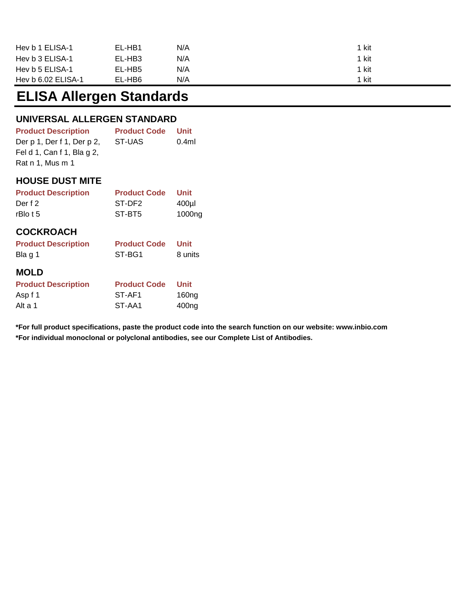| Hev b 1 ELISA-1    | EL-HB1 | N/A | 1 kit |
|--------------------|--------|-----|-------|
| Hev b 3 ELISA-1    | EL-HB3 | N/A | 1 kit |
| Hev b 5 ELISA-1    | EL-HB5 | N/A | 1 kit |
| Hev b 6.02 ELISA-1 | EL-HB6 | N/A | 1 kit |

## **ELISA Allergen Standards**

### **UNIVERSAL ALLERGEN STANDARD**

| <b>Product Description</b> | <b>Product Code</b> | Unit  |
|----------------------------|---------------------|-------|
| Der p 1, Der f 1, Der p 2, | ST-UAS              | 0.4ml |
| Fel d 1, Can f 1, Bla g 2, |                     |       |
| Rat n 1, Mus m 1           |                     |       |

#### **HOUSE DUST MITE**

| <b>Product Description</b> | <b>Product Code</b> | <b>Unit</b> |
|----------------------------|---------------------|-------------|
| Der f 2                    | ST-DF2              | $400$ µl    |
| $rBlo$ t 5                 | ST-BT5              | 1000ng      |
| <b>COCKROACH</b>           |                     |             |
| <b>Product Description</b> | <b>Product Code</b> | <b>Unit</b> |
| Bla g 1                    | ST-BG1              | 8 units     |
| <b>MOLD</b>                |                     |             |
| <b>Product Description</b> | <b>Product Code</b> | <b>Unit</b> |
| Asp f 1                    | ST-AF1              | 160ng       |
| Alt a 1                    | ST-AA1              | 400ng       |

**\*For individual monoclonal or polyclonal antibodies, see our Complete List of Antibodies. \*For full product specifications, paste the product code into the search function on our website: www.inbio.com**